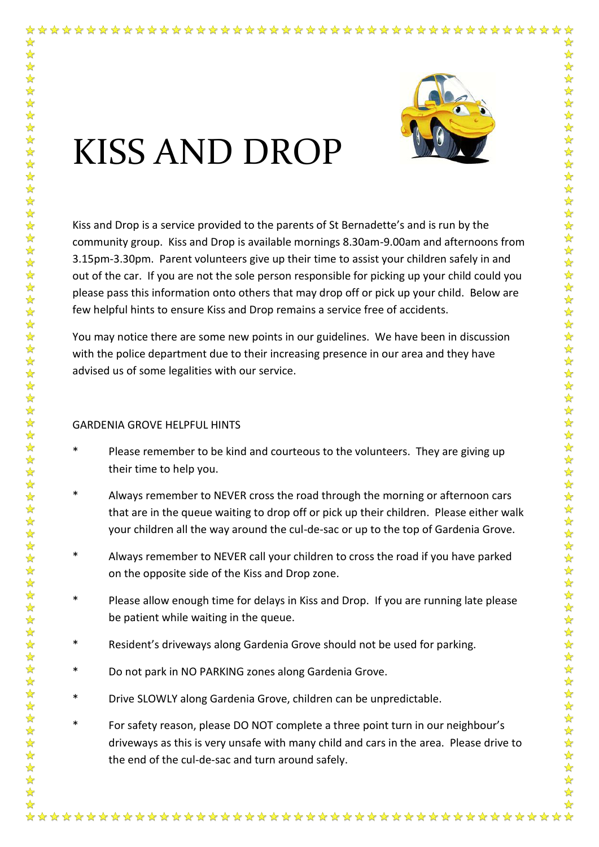

## KISS AND DROP

✿ ☆

 $\frac{1}{\sqrt{2}}$ 

Kiss and Drop is a service provided to the parents of St Bernadette's and is run by the community group. Kiss and Drop is available mornings 8.30am-9.00am and afternoons from 3.15pm-3.30pm. Parent volunteers give up their time to assist your children safely in and out of the car. If you are not the sole person responsible for picking up your child could you please pass this information onto others that may drop off or pick up your child. Below are few helpful hints to ensure Kiss and Drop remains a service free of accidents.

You may notice there are some new points in our guidelines. We have been in discussion with the police department due to their increasing presence in our area and they have advised us of some legalities with our service.

## GARDENIA GROVE HELPFUL HINTS

- \* Please remember to be kind and courteous to the volunteers. They are giving up their time to help you.
- \* Always remember to NEVER cross the road through the morning or afternoon cars that are in the queue waiting to drop off or pick up their children. Please either walk your children all the way around the cul-de-sac or up to the top of Gardenia Grove.
- \* Always remember to NEVER call your children to cross the road if you have parked on the opposite side of the Kiss and Drop zone.
- \* Please allow enough time for delays in Kiss and Drop. If you are running late please be patient while waiting in the queue.
- \* Resident's driveways along Gardenia Grove should not be used for parking.
- \* Do not park in NO PARKING zones along Gardenia Grove.
- \* Drive SLOWLY along Gardenia Grove, children can be unpredictable.
- For safety reason, please DO NOT complete a three point turn in our neighbour's driveways as this is very unsafe with many child and cars in the area. Please drive to the end of the cul-de-sac and turn around safely.